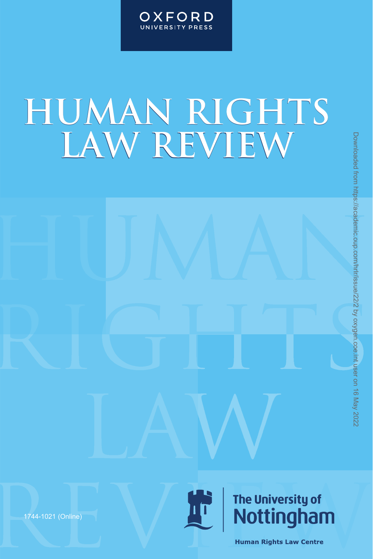

# **HUMAN RIGHTS LAW REVIEW** HRLAW REVIEW<br>
HRLAM-22-2022 3:59 PM DOWNLOADED FROM DOWNLOADED FROM DOWNLOADED FROM DOWNLOADED FROM DOWNLOAD TRANSPART (NOT<br>
The University of The University of Nottling ham<br>
Motion Agains and the Law Control on 16 May 202

1744-1021 (Online)

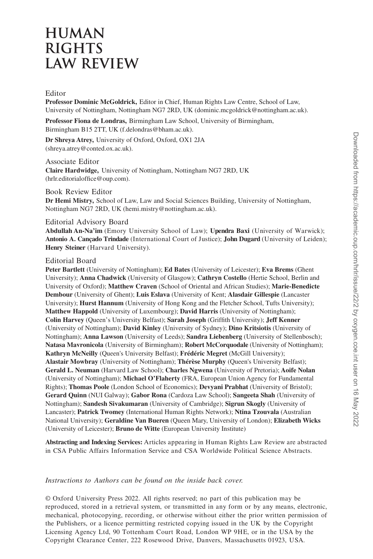## **HUMAN RIGHTS LAW REVIEW**

### Editor

**Professor Dominic McGoldrick,** Editor in Chief, Human Rights Law Centre, School of Law, University of Nottingham, Nottingham NG7 2RD, UK (dominic.mcgoldrick@nottingham.ac.uk).

**Professor Fiona de Londras,** Birmingham Law School, University of Birmingham, Birmingham B15 2TT, UK (f.delondras@bham.ac.uk).

**Dr Shreya Atrey,** University of Oxford, Oxford, OX1 2JA (shreya.atrey@conted.ox.ac.uk).

Associate Editor **Claire Hardwidge,** University of Nottingham, Nottingham NG7 2RD, UK (hrlr.editorialoffice@oup.com).

Book Review Editor

**Dr Hemi Mistry,** School of Law, Law and Social Sciences Building, University of Nottingham, Nottingham NG7 2RD, UK (hemi.mistry@nottingham.ac.uk).

### Editorial Advisory Board

**Abdullah An-Na'im** (Emory University School of Law); **Upendra Baxi** (University of Warwick); Antonio A. Cancado Trindade (International Court of Justice); **John Dugard** (University of Leiden); **Henry Steiner** (Harvard University).

### Editorial Board

**Peter Bartlett** (University of Nottingham); **Ed Bates** (University of Leicester); **Eva Brems** (Ghent University); **Anna Chadwick** (University of Glasgow); **Cathryn Costello** (Hertie School, Berlin and University of Oxford); **Matthew Craven** (School of Oriental and African Studies); **Marie-Benedicte Dembour** (University of Ghent); **Luis Eslava** (University of Kent; **Alasdair Gillespie** (Lancaster University); **Hurst Hannum** (University of Hong Kong and the Fletcher School, Tufts University); **Matthew Happold** (University of Luxembourg); **David Harris** (University of Nottingham); **Colin Harvey** (Queen's University Belfast); **Sarah Joseph** (Griffith University); Jeff Kenner (University of Nottingham); **David Kinley** (University of Sydney); **Dino Kritsiotis** (University of Nottingham); **Anna Lawson** (University of Leeds); **Sandra Liebenberg** (University of Stellenbosch); **Natasa Mavronicola** (University of Birmingham); **Robert McCorquodale** (University of Nottingham); **Kathryn McNeilly** (Queen's University Belfast); **Frédéric Megret** (McGill University); **Alastair Mowbray** (University of Nottingham); **Thérèse Murphy** (Queen's University Belfast); **Gerald L. Neuman** (Harvard Law School); **Charles Ngwena** (University of Pretoria); **Aoife Nolan**  (University of Nottingham); **Michael O'Flaherty** (FRA, European Union Agency for Fundamental Rights); **Thomas Poole** (London School of Economics); **Devyani Prabhat** (University of Bristol); **Gerard Quinn** (NUI Galway); **Gabor Rona** (Cardoza Law School); **Sangeeta Shah** (University of Nottingham); **Sandesh Sivakumaran** (University of Cambridge); **Sigrun Skogly** (University of Lancaster); **Patrick Twomey** (International Human Rights Network); **Ntina Tzouvala** (Australian National University); **Geraldine Van Bueren** (Queen Mary, University of London); **Elizabeth Wicks**  (University of Leicester); **Bruno de Witte** (European University Institute) **IF Shere Are University of Neutron Are also and the Shere Are also and the Shere Are also and the Cover and the Cover and the Cover and the Cover and the Cover and the Cover and the Cover and the Cover and May 2022 1:46:** 

**Abstracting and Indexing Services:** Articles appearing in Human Rights Law Review are abstracted in CSA Public Affairs Information Service and CSA Worldwide Political Science Abstracts.

### *Instructions to Authors can be found on the inside back cover.*

© Oxford University Press 2022. All rights reserved; no part of this publication may be reproduced, stored in a retrieval system, or transmitted in any form or by any means, electronic, mechanical, photocopying, recording, or otherwise with out either the prior written permission of the Publishers, or a licence permitting restricted copying issued in the UK by the Copyright Licensing Agency Ltd, 90 Tottenham Court Road, London WP 9 HE, or in the USA by the Copyright Clearance Center, 222 Rosewood Drive, Danvers, Massachusetts 01923, USA.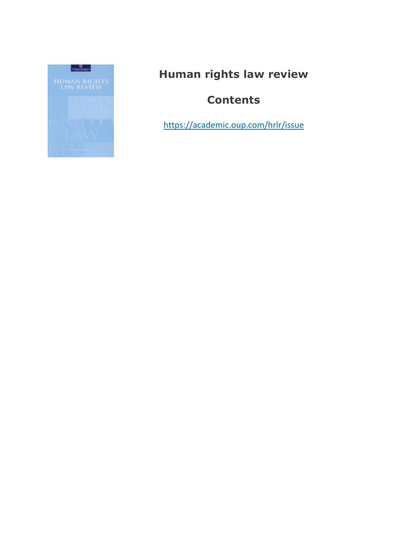

# **Human rights law review**

# **Contents**

<https://academic.oup.com/hrlr/issue>